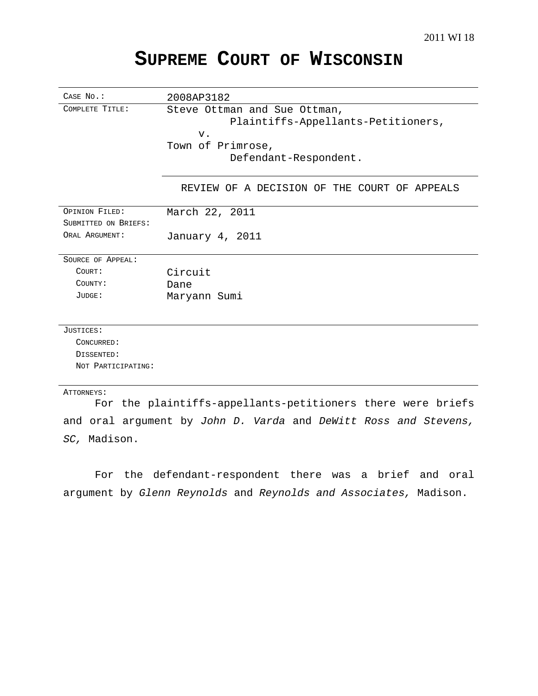# **SUPREME COURT OF WISCONSIN**

| CASE No.:            | 2008AP3182                                                  |
|----------------------|-------------------------------------------------------------|
| COMPLETE TITLE:      | Steve Ottman and Sue Ottman,                                |
|                      | Plaintiffs-Appellants-Petitioners,                          |
|                      | $V$ .                                                       |
|                      | Town of Primrose,                                           |
|                      | Defendant-Respondent.                                       |
|                      | REVIEW OF A DECISION OF THE COURT OF APPEALS                |
| OPINION FILED:       | March 22, 2011                                              |
| SUBMITTED ON BRIEFS: |                                                             |
| ORAL ARGUMENT:       | January 4, 2011                                             |
| SOURCE OF APPEAL:    |                                                             |
| COURT:               | Circuit                                                     |
| COUNTY:              | Dane                                                        |
| JUDGE:               | Maryann Sumi                                                |
|                      |                                                             |
| JUSTICES:            |                                                             |
| CONCURRED:           |                                                             |
| DISSENTED:           |                                                             |
| NOT PARTICIPATING:   |                                                             |
| ATTORNEYS:           |                                                             |
|                      | For the plaintiffs-appellants-petitioners there were briefs |

and oral argument by John D. Varda and DeWitt Ross and Stevens, SC, Madison.

For the defendant-respondent there was a brief and oral argument by Glenn Reynolds and Reynolds and Associates, Madison.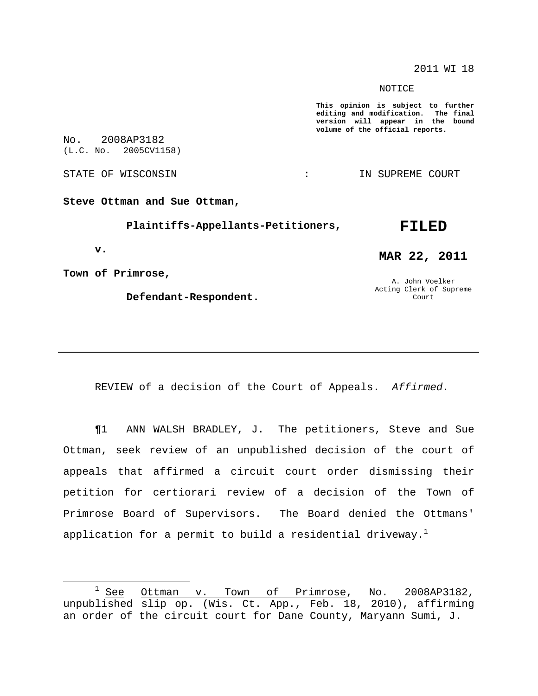2011 WI 18

NOTICE

**This opinion is subject to further editing and modification. The final version will appear in the bound volume of the official reports.**

No. 2008AP3182 (L.C. No. 2005CV1158)

STATE OF WISCONSIN THE RESERVE STATE OF WISCONSIN STATE OF THE SUPREME COURT

**Steve Ottman and Sue Ottman,**

**Plaintiffs-Appellants-Petitioners,**

**v.**

**Town of Primrose,**

**Defendant-Respondent.**

# **MAR 22, 2011**

**FILED**

A. John Voelker Acting Clerk of Supreme Court

REVIEW of a decision of the Court of Appeals. Affirmed.

¶1 ANN WALSH BRADLEY, J. The petitioners, Steve and Sue Ottman, seek review of an unpublished decision of the court of appeals that affirmed a circuit court order dismissing their petition for certiorari review of a decision of the Town of Primrose Board of Supervisors. The Board denied the Ottmans' application for a permit to build a residential driveway. $^{\rm l}$ 

 $1$  See Ottman v. Town of Primrose, No. 2008AP3182, unpublished slip op. (Wis. Ct. App., Feb. 18, 2010), affirming an order of the circuit court for Dane County, Maryann Sumi, J.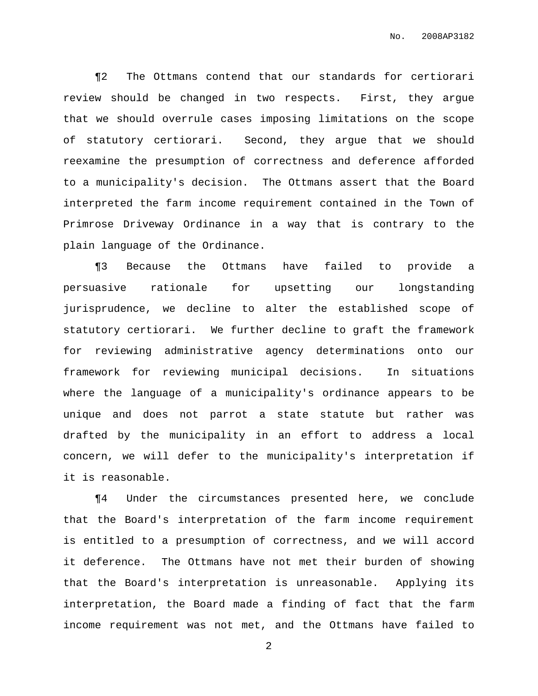¶2 The Ottmans contend that our standards for certiorari review should be changed in two respects. First, they argue that we should overrule cases imposing limitations on the scope of statutory certiorari. Second, they argue that we should reexamine the presumption of correctness and deference afforded to a municipality's decision. The Ottmans assert that the Board interpreted the farm income requirement contained in the Town of Primrose Driveway Ordinance in a way that is contrary to the plain language of the Ordinance.

¶3 Because the Ottmans have failed to provide a persuasive rationale for upsetting our longstanding jurisprudence, we decline to alter the established scope of statutory certiorari. We further decline to graft the framework for reviewing administrative agency determinations onto our framework for reviewing municipal decisions. In situations where the language of a municipality's ordinance appears to be unique and does not parrot a state statute but rather was drafted by the municipality in an effort to address a local concern, we will defer to the municipality's interpretation if it is reasonable.

¶4 Under the circumstances presented here, we conclude that the Board's interpretation of the farm income requirement is entitled to a presumption of correctness, and we will accord it deference. The Ottmans have not met their burden of showing that the Board's interpretation is unreasonable. Applying its interpretation, the Board made a finding of fact that the farm income requirement was not met, and the Ottmans have failed to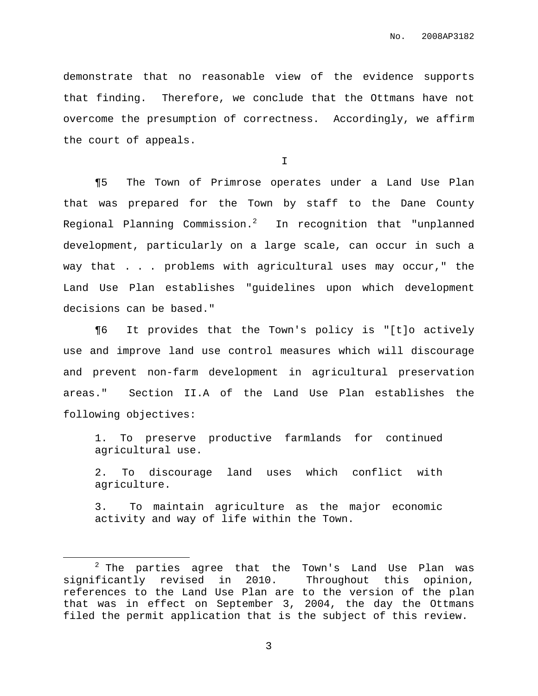demonstrate that no reasonable view of the evidence supports that finding. Therefore, we conclude that the Ottmans have not overcome the presumption of correctness. Accordingly, we affirm the court of appeals.

I

¶5 The Town of Primrose operates under a Land Use Plan that was prepared for the Town by staff to the Dane County Regional Planning Commission. $^2$   $\,$  In recognition that "unplanned development, particularly on a large scale, can occur in such a way that . . . problems with agricultural uses may occur," the Land Use Plan establishes "guidelines upon which development decisions can be based."

¶6 It provides that the Town's policy is "[t]o actively use and improve land use control measures which will discourage and prevent non-farm development in agricultural preservation areas." Section II.A of the Land Use Plan establishes the following objectives:

1. To preserve productive farmlands for continued agricultural use.

2. To discourage land uses which conflict with agriculture.

3. To maintain agriculture as the major economic activity and way of life within the Town.

 $2$  The parties agree that the Town's Land Use Plan was significantly revised in 2010. Throughout this opinion, references to the Land Use Plan are to the version of the plan that was in effect on September 3, 2004, the day the Ottmans filed the permit application that is the subject of this review.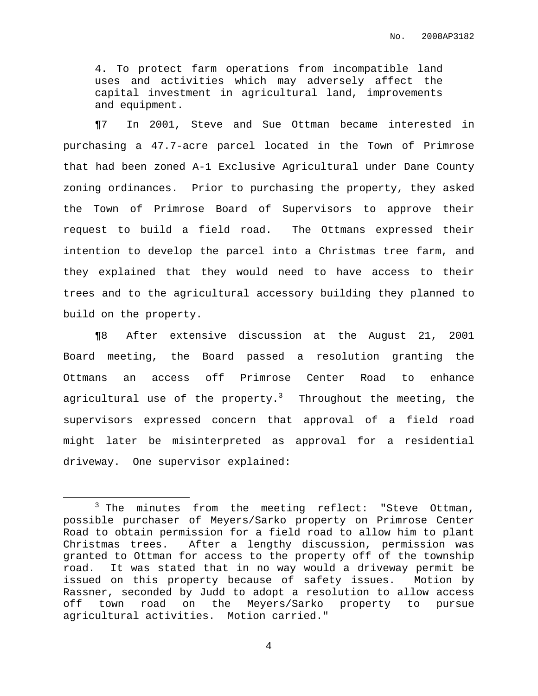4. To protect farm operations from incompatible land uses and activities which may adversely affect the capital investment in agricultural land, improvements and equipment.

¶7 In 2001, Steve and Sue Ottman became interested in purchasing a 47.7-acre parcel located in the Town of Primrose that had been zoned A-1 Exclusive Agricultural under Dane County zoning ordinances. Prior to purchasing the property, they asked the Town of Primrose Board of Supervisors to approve their request to build a field road. The Ottmans expressed their intention to develop the parcel into a Christmas tree farm, and they explained that they would need to have access to their trees and to the agricultural accessory building they planned to build on the property.

¶8 After extensive discussion at the August 21, 2001 Board meeting, the Board passed a resolution granting the Ottmans an access off Primrose Center Road to enhance agricultural use of the property. $^3$  Throughout the meeting, the supervisors expressed concern that approval of a field road might later be misinterpreted as approval for a residential driveway. One supervisor explained:

 $3$  The minutes from the meeting reflect: "Steve Ottman, possible purchaser of Meyers/Sarko property on Primrose Center Road to obtain permission for a field road to allow him to plant Christmas trees. After a lengthy discussion, permission was granted to Ottman for access to the property off of the township road. It was stated that in no way would a driveway permit be issued on this property because of safety issues. Motion by Rassner, seconded by Judd to adopt a resolution to allow access off town road on the Meyers/Sarko property to pursue agricultural activities. Motion carried."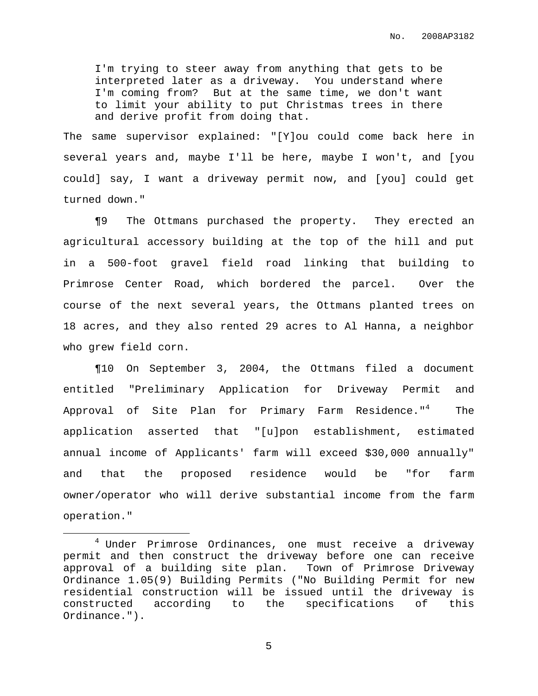I'm trying to steer away from anything that gets to be interpreted later as a driveway. You understand where I'm coming from? But at the same time, we don't want to limit your ability to put Christmas trees in there and derive profit from doing that.

The same supervisor explained: "[Y]ou could come back here in several years and, maybe I'll be here, maybe I won't, and [you could] say, I want a driveway permit now, and [you] could get turned down."

¶9 The Ottmans purchased the property. They erected an agricultural accessory building at the top of the hill and put in a 500-foot gravel field road linking that building to Primrose Center Road, which bordered the parcel. Over the course of the next several years, the Ottmans planted trees on 18 acres, and they also rented 29 acres to Al Hanna, a neighbor who grew field corn.

¶10 On September 3, 2004, the Ottmans filed a document entitled "Preliminary Application for Driveway Permit and Approval of Site Plan for Primary Farm Residence."<sup>4</sup> The application asserted that "[u]pon establishment, estimated annual income of Applicants' farm will exceed \$30,000 annually" and that the proposed residence would be "for farm owner/operator who will derive substantial income from the farm operation."

<sup>&</sup>lt;sup>4</sup> Under Primrose Ordinances, one must receive a driveway permit and then construct the driveway before one can receive approval of a building site plan. Town of Primrose Driveway Ordinance 1.05(9) Building Permits ("No Building Permit for new residential construction will be issued until the driveway is constructed according to the specifications of this Ordinance.").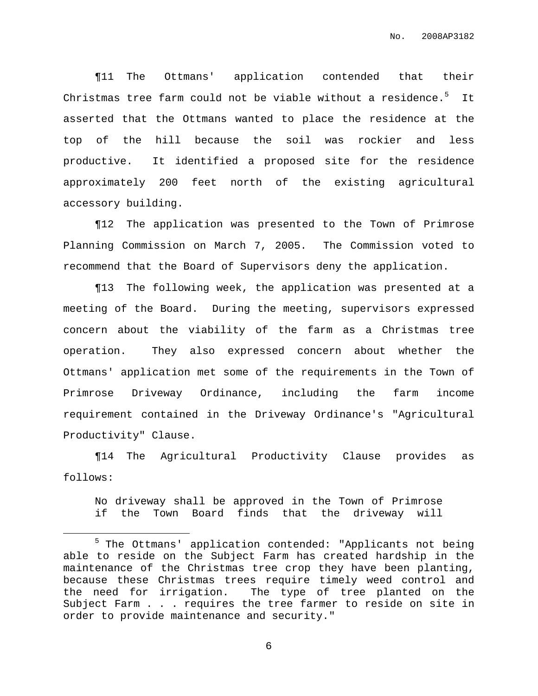¶11 The Ottmans' application contended that their Christmas tree farm could not be viable without a residence.<sup>5</sup> It asserted that the Ottmans wanted to place the residence at the top of the hill because the soil was rockier and less productive. It identified a proposed site for the residence approximately 200 feet north of the existing agricultural accessory building.

¶12 The application was presented to the Town of Primrose Planning Commission on March 7, 2005. The Commission voted to recommend that the Board of Supervisors deny the application.

¶13 The following week, the application was presented at a meeting of the Board. During the meeting, supervisors expressed concern about the viability of the farm as a Christmas tree operation. They also expressed concern about whether the Ottmans' application met some of the requirements in the Town of Primrose Driveway Ordinance, including the farm income requirement contained in the Driveway Ordinance's "Agricultural Productivity" Clause.

¶14 The Agricultural Productivity Clause provides as follows:

No driveway shall be approved in the Town of Primrose if the Town Board finds that the driveway will

<sup>5</sup> The Ottmans' application contended: "Applicants not being able to reside on the Subject Farm has created hardship in the maintenance of the Christmas tree crop they have been planting, because these Christmas trees require timely weed control and the need for irrigation. The type of tree planted on the Subject Farm . . . requires the tree farmer to reside on site in order to provide maintenance and security."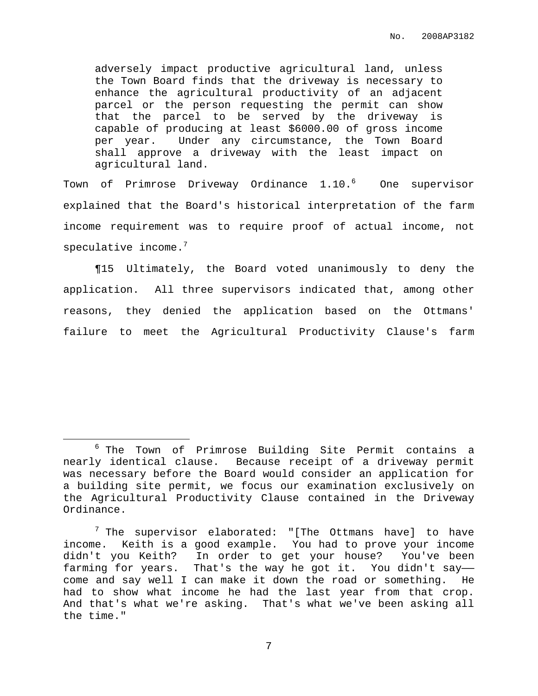adversely impact productive agricultural land, unless the Town Board finds that the driveway is necessary to enhance the agricultural productivity of an adjacent parcel or the person requesting the permit can show that the parcel to be served by the driveway is capable of producing at least \$6000.00 of gross income per year. Under any circumstance, the Town Board shall approve a driveway with the least impact on agricultural land.

Town of Primrose Driveway Ordinance 1.10.<sup>6</sup> One supervisor explained that the Board's historical interpretation of the farm income requirement was to require proof of actual income, not speculative income. $^7$ 

¶15 Ultimately, the Board voted unanimously to deny the application. All three supervisors indicated that, among other reasons, they denied the application based on the Ottmans' failure to meet the Agricultural Productivity Clause's farm

<sup>6</sup> The Town of Primrose Building Site Permit contains a nearly identical clause. Because receipt of a driveway permit was necessary before the Board would consider an application for a building site permit, we focus our examination exclusively on the Agricultural Productivity Clause contained in the Driveway Ordinance.

 $7$  The supervisor elaborated: "[The Ottmans have] to have income. Keith is a good example. You had to prove your income didn't you Keith? In order to get your house? You've been farming for years. That's the way he got it. You didn't say— come and say well I can make it down the road or something. He had to show what income he had the last year from that crop. And that's what we're asking. That's what we've been asking all the time."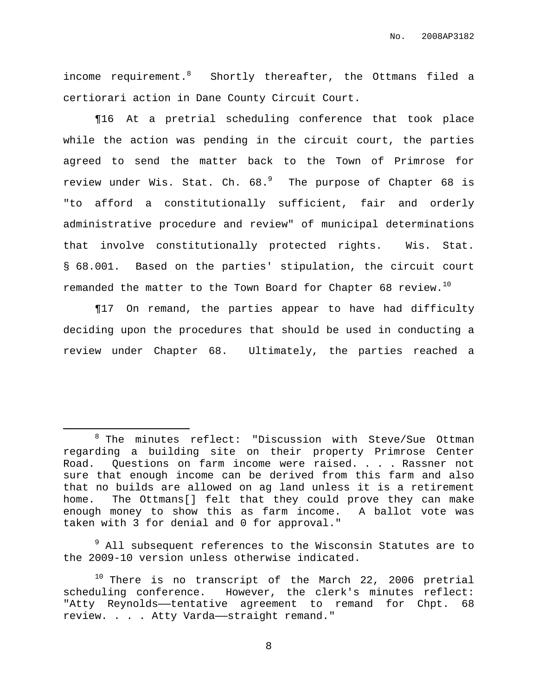income requirement.<sup>8</sup> Shortly thereafter, the Ottmans filed a certiorari action in Dane County Circuit Court.

¶16 At a pretrial scheduling conference that took place while the action was pending in the circuit court, the parties agreed to send the matter back to the Town of Primrose for review under Wis. Stat. Ch.  $68.^9$  . The purpose of Chapter  $68$  is "to afford a constitutionally sufficient, fair and orderly administrative procedure and review" of municipal determinations that involve constitutionally protected rights. Wis. Stat. § 68.001. Based on the parties' stipulation, the circuit court remanded the matter to the Town Board for Chapter 68 review. $^{10}$ 

¶17 On remand, the parties appear to have had difficulty deciding upon the procedures that should be used in conducting a review under Chapter 68. Ultimately, the parties reached a

<sup>9</sup> All subsequent references to the Wisconsin Statutes are to the 2009-10 version unless otherwise indicated.

<sup>8</sup> The minutes reflect: "Discussion with Steve/Sue Ottman regarding a building site on their property Primrose Center Road. Questions on farm income were raised. . . . Rassner not sure that enough income can be derived from this farm and also that no builds are allowed on ag land unless it is a retirement home. The Ottmans[] felt that they could prove they can make enough money to show this as farm income. A ballot vote was taken with 3 for denial and 0 for approval."

 $10$  There is no transcript of the March 22, 2006 pretrial scheduling conference. However, the clerk's minutes reflect: "Atty Reynolds--tentative agreement to remand for Chpt. 68 review. . . . Atty Varda——straight remand."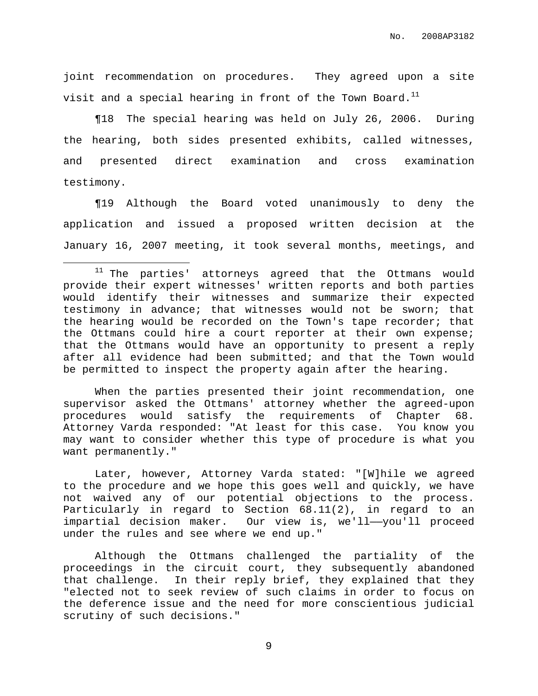joint recommendation on procedures. They agreed upon a site visit and a special hearing in front of the Town Board. $^{\rm 11}$ 

¶18 The special hearing was held on July 26, 2006. During the hearing, both sides presented exhibits, called witnesses, and presented direct examination and cross examination testimony.

¶19 Although the Board voted unanimously to deny the application and issued a proposed written decision at the January 16, 2007 meeting, it took several months, meetings, and

When the parties presented their joint recommendation, one supervisor asked the Ottmans' attorney whether the agreed-upon procedures would satisfy the requirements of Chapter 68. Attorney Varda responded: "At least for this case. You know you may want to consider whether this type of procedure is what you want permanently."

Later, however, Attorney Varda stated: "[W]hile we agreed to the procedure and we hope this goes well and quickly, we have not waived any of our potential objections to the process. Particularly in regard to Section 68.11(2), in regard to an impartial decision maker. Our view is, we'll——you'll proceed under the rules and see where we end up."

Although the Ottmans challenged the partiality of the proceedings in the circuit court, they subsequently abandoned that challenge. In their reply brief, they explained that they "elected not to seek review of such claims in order to focus on the deference issue and the need for more conscientious judicial scrutiny of such decisions."

 $11$  The parties' attorneys agreed that the Ottmans would provide their expert witnesses' written reports and both parties would identify their witnesses and summarize their expected testimony in advance; that witnesses would not be sworn; that the hearing would be recorded on the Town's tape recorder; that the Ottmans could hire a court reporter at their own expense; that the Ottmans would have an opportunity to present a reply after all evidence had been submitted; and that the Town would be permitted to inspect the property again after the hearing.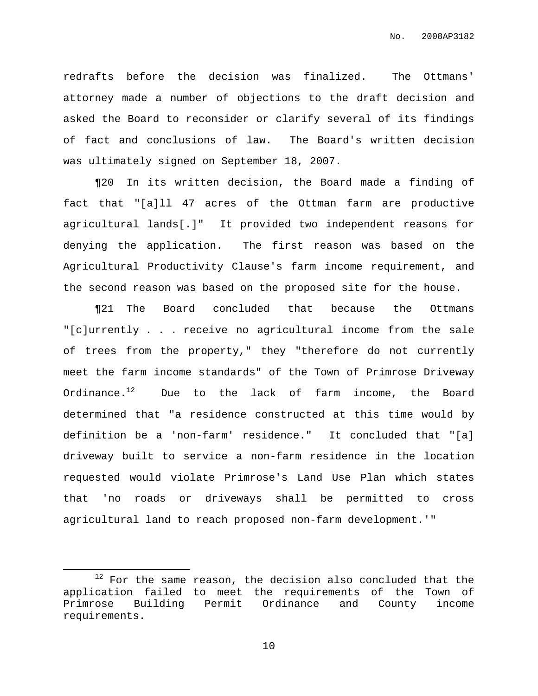redrafts before the decision was finalized. The Ottmans' attorney made a number of objections to the draft decision and asked the Board to reconsider or clarify several of its findings of fact and conclusions of law. The Board's written decision was ultimately signed on September 18, 2007.

¶20 In its written decision, the Board made a finding of fact that "[a]ll 47 acres of the Ottman farm are productive agricultural lands[.]" It provided two independent reasons for denying the application. The first reason was based on the Agricultural Productivity Clause's farm income requirement, and the second reason was based on the proposed site for the house.

¶21 The Board concluded that because the Ottmans "[c]urrently . . . receive no agricultural income from the sale of trees from the property," they "therefore do not currently meet the farm income standards" of the Town of Primrose Driveway Ordinance. $^{12}$  Due to the lack of farm income, the Board determined that "a residence constructed at this time would by definition be a 'non-farm' residence." It concluded that "[a] driveway built to service a non-farm residence in the location requested would violate Primrose's Land Use Plan which states that 'no roads or driveways shall be permitted to cross agricultural land to reach proposed non-farm development.'"

 $12$  For the same reason, the decision also concluded that the application failed to meet the requirements of the Town of Primrose Building Permit Ordinance and County income requirements.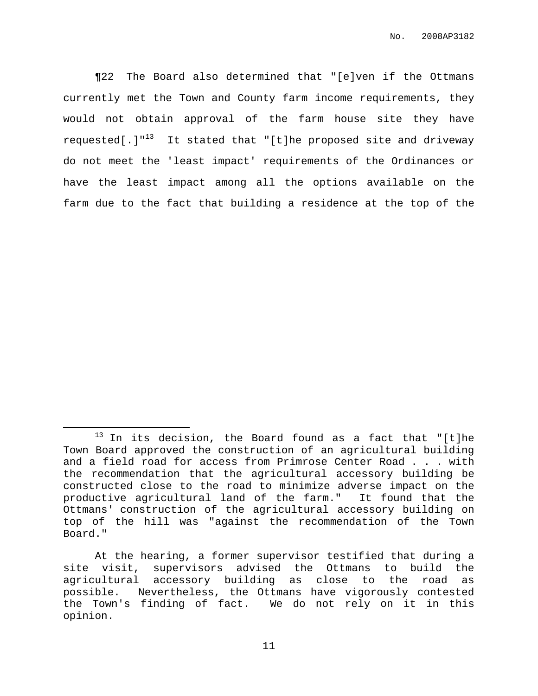¶22 The Board also determined that "[e]ven if the Ottmans currently met the Town and County farm income requirements, they would not obtain approval of the farm house site they have requested[.]"<sup>13</sup> It stated that "[t]he proposed site and driveway do not meet the 'least impact' requirements of the Ordinances or have the least impact among all the options available on the farm due to the fact that building a residence at the top of the

 $13$  In its decision, the Board found as a fact that "[t]he Town Board approved the construction of an agricultural building and a field road for access from Primrose Center Road . . . with the recommendation that the agricultural accessory building be constructed close to the road to minimize adverse impact on the productive agricultural land of the farm." It found that the Ottmans' construction of the agricultural accessory building on top of the hill was "against the recommendation of the Town Board."

At the hearing, a former supervisor testified that during a site visit, supervisors advised the Ottmans to build the agricultural accessory building as close to the road as possible. Nevertheless, the Ottmans have vigorously contested the Town's finding of fact. We do not rely on it in this opinion.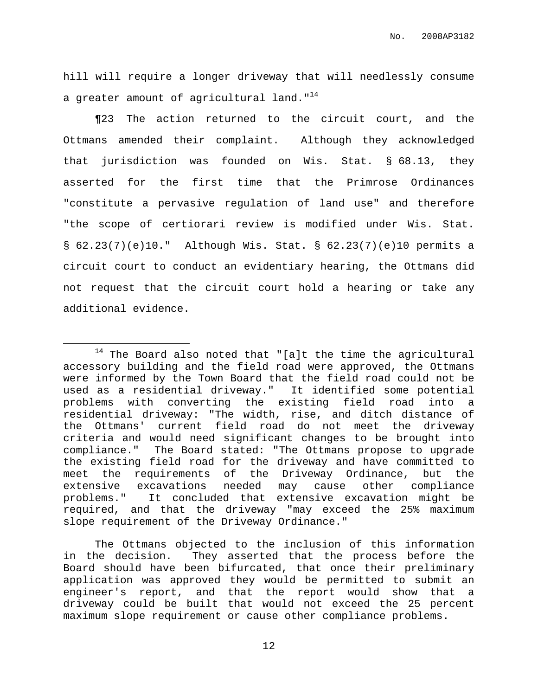hill will require a longer driveway that will needlessly consume a greater amount of agricultural land." $^{14}$ 

¶23 The action returned to the circuit court, and the Ottmans amended their complaint. Although they acknowledged that jurisdiction was founded on Wis. Stat. § 68.13, they asserted for the first time that the Primrose Ordinances "constitute a pervasive regulation of land use" and therefore "the scope of certiorari review is modified under Wis. Stat. § 62.23(7)(e)10." Although Wis. Stat. § 62.23(7)(e)10 permits a circuit court to conduct an evidentiary hearing, the Ottmans did not request that the circuit court hold a hearing or take any additional evidence.

 $14$  The Board also noted that "[a]t the time the agricultural accessory building and the field road were approved, the Ottmans were informed by the Town Board that the field road could not be used as a residential driveway." It identified some potential problems with converting the existing field road into a residential driveway: "The width, rise, and ditch distance of the Ottmans' current field road do not meet the driveway criteria and would need significant changes to be brought into compliance." The Board stated: "The Ottmans propose to upgrade the existing field road for the driveway and have committed to meet the requirements of the Driveway Ordinance, but the extensive excavations needed may cause other compliance problems." It concluded that extensive excavation might be required, and that the driveway "may exceed the 25% maximum slope requirement of the Driveway Ordinance."

The Ottmans objected to the inclusion of this information in the decision. They asserted that the process before the Board should have been bifurcated, that once their preliminary application was approved they would be permitted to submit an engineer's report, and that the report would show that a driveway could be built that would not exceed the 25 percent maximum slope requirement or cause other compliance problems.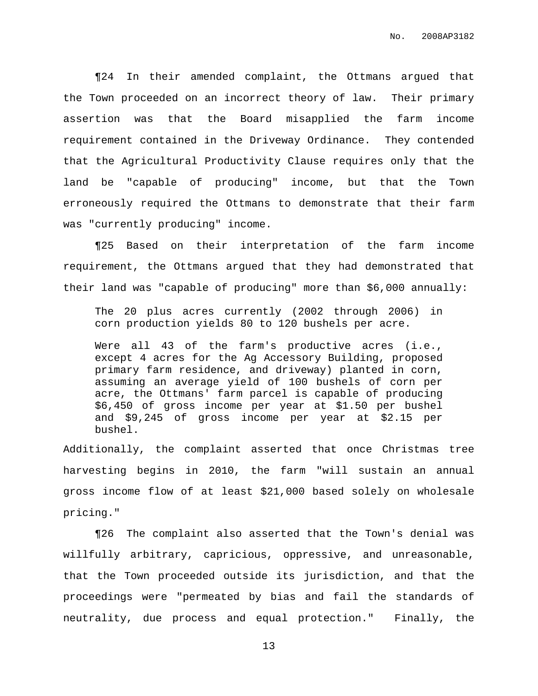¶24 In their amended complaint, the Ottmans argued that the Town proceeded on an incorrect theory of law. Their primary assertion was that the Board misapplied the farm income requirement contained in the Driveway Ordinance. They contended that the Agricultural Productivity Clause requires only that the land be "capable of producing" income, but that the Town erroneously required the Ottmans to demonstrate that their farm was "currently producing" income.

¶25 Based on their interpretation of the farm income requirement, the Ottmans argued that they had demonstrated that their land was "capable of producing" more than \$6,000 annually:

The 20 plus acres currently (2002 through 2006) in corn production yields 80 to 120 bushels per acre.

Were all 43 of the farm's productive acres (i.e., except 4 acres for the Ag Accessory Building, proposed primary farm residence, and driveway) planted in corn, assuming an average yield of 100 bushels of corn per acre, the Ottmans' farm parcel is capable of producing \$6,450 of gross income per year at \$1.50 per bushel and \$9,245 of gross income per year at \$2.15 per bushel.

Additionally, the complaint asserted that once Christmas tree harvesting begins in 2010, the farm "will sustain an annual gross income flow of at least \$21,000 based solely on wholesale pricing."

¶26 The complaint also asserted that the Town's denial was willfully arbitrary, capricious, oppressive, and unreasonable, that the Town proceeded outside its jurisdiction, and that the proceedings were "permeated by bias and fail the standards of neutrality, due process and equal protection." Finally, the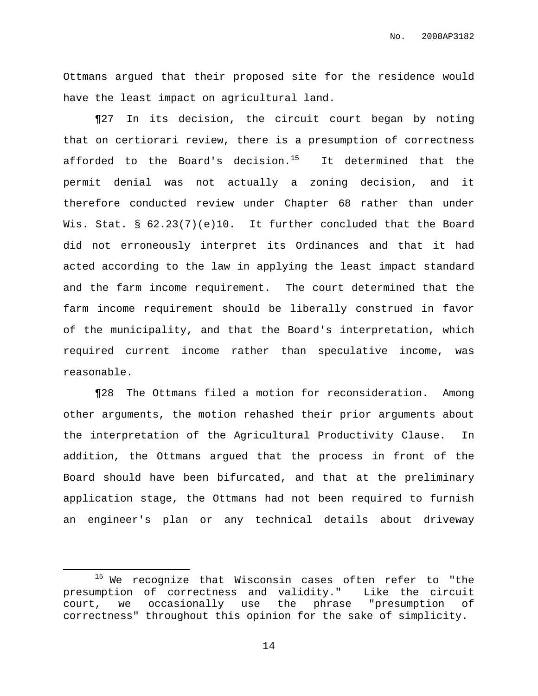No. 2008AP3182

Ottmans argued that their proposed site for the residence would have the least impact on agricultural land.

¶27 In its decision, the circuit court began by noting that on certiorari review, there is a presumption of correctness afforded to the Board's decision.<sup>15</sup> It determined that the permit denial was not actually a zoning decision, and it therefore conducted review under Chapter 68 rather than under Wis. Stat. § 62.23(7)(e)10. It further concluded that the Board did not erroneously interpret its Ordinances and that it had acted according to the law in applying the least impact standard and the farm income requirement. The court determined that the farm income requirement should be liberally construed in favor of the municipality, and that the Board's interpretation, which required current income rather than speculative income, was reasonable.

¶28 The Ottmans filed a motion for reconsideration. Among other arguments, the motion rehashed their prior arguments about the interpretation of the Agricultural Productivity Clause. In addition, the Ottmans argued that the process in front of the Board should have been bifurcated, and that at the preliminary application stage, the Ottmans had not been required to furnish an engineer's plan or any technical details about driveway

<sup>&</sup>lt;sup>15</sup> We recognize that Wisconsin cases often refer to "the presumption of correctness and validity." Like the circuit court, we occasionally use the phrase "presumption of correctness" throughout this opinion for the sake of simplicity.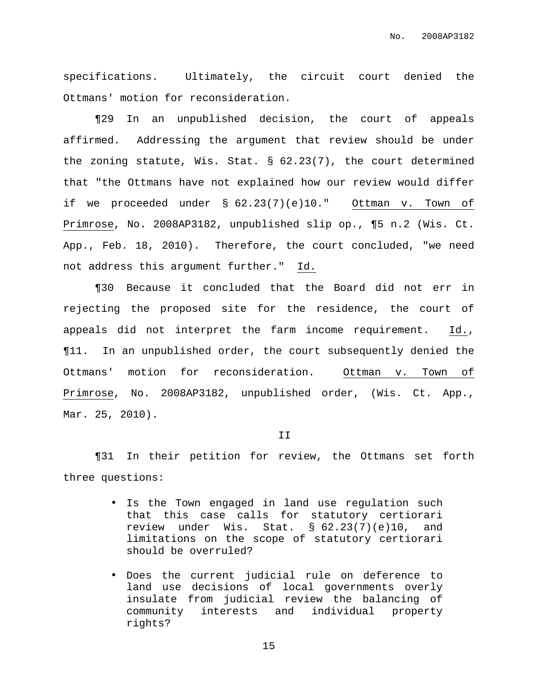No. 2008AP3182

specifications. Ultimately, the circuit court denied the Ottmans' motion for reconsideration.

¶29 In an unpublished decision, the court of appeals affirmed. Addressing the argument that review should be under the zoning statute, Wis. Stat. § 62.23(7), the court determined that "the Ottmans have not explained how our review would differ if we proceeded under § 62.23(7)(e)10." Ottman v. Town of Primrose, No. 2008AP3182, unpublished slip op., ¶5 n.2 (Wis. Ct. App., Feb. 18, 2010). Therefore, the court concluded, "we need not address this argument further." Id.

¶30 Because it concluded that the Board did not err in rejecting the proposed site for the residence, the court of appeals did not interpret the farm income requirement. Id., ¶11. In an unpublished order, the court subsequently denied the Ottmans' motion for reconsideration. Ottman v. Town of Primrose, No. 2008AP3182, unpublished order, (Wis. Ct. App., Mar. 25, 2010).

II

¶31 In their petition for review, the Ottmans set forth three questions:

- Is the Town engaged in land use regulation such that this case calls for statutory certiorari review under Wis. Stat. § 62.23(7)(e)10, and limitations on the scope of statutory certiorari should be overruled?
- Does the current judicial rule on deference to land use decisions of local governments overly insulate from judicial review the balancing of community interests and individual property rights?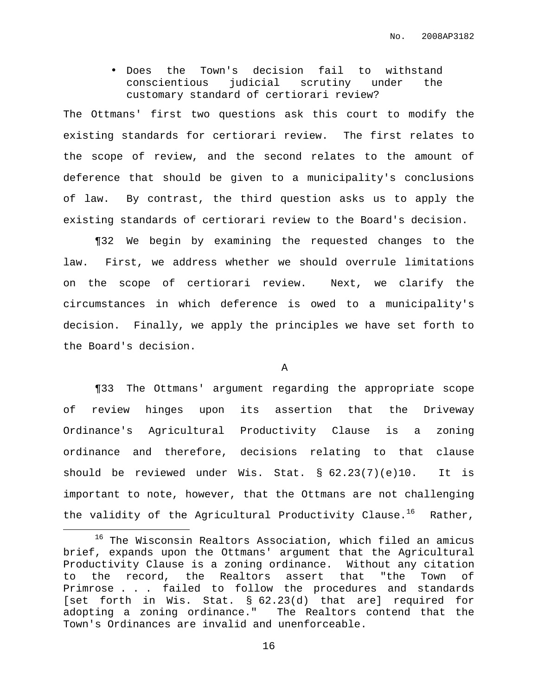• Does the Town's decision fail to withstand conscientious judicial scrutiny under the customary standard of certiorari review?

The Ottmans' first two questions ask this court to modify the existing standards for certiorari review. The first relates to the scope of review, and the second relates to the amount of deference that should be given to a municipality's conclusions of law. By contrast, the third question asks us to apply the existing standards of certiorari review to the Board's decision.

¶32 We begin by examining the requested changes to the law. First, we address whether we should overrule limitations on the scope of certiorari review. Next, we clarify the circumstances in which deference is owed to a municipality's decision. Finally, we apply the principles we have set forth to the Board's decision.

A

¶33 The Ottmans' argument regarding the appropriate scope of review hinges upon its assertion that the Driveway Ordinance's Agricultural Productivity Clause is a zoning ordinance and therefore, decisions relating to that clause should be reviewed under Wis. Stat. § 62.23(7)(e)10. It is important to note, however, that the Ottmans are not challenging the validity of the Agricultural Productivity Clause.<sup>16</sup> Rather,

<sup>&</sup>lt;sup>16</sup> The Wisconsin Realtors Association, which filed an amicus brief, expands upon the Ottmans' argument that the Agricultural Productivity Clause is a zoning ordinance. Without any citation to the record, the Realtors assert that "the Town of Primrose . . . failed to follow the procedures and standards [set forth in Wis. Stat. § 62.23(d) that are] required for adopting a zoning ordinance." The Realtors contend that the Town's Ordinances are invalid and unenforceable.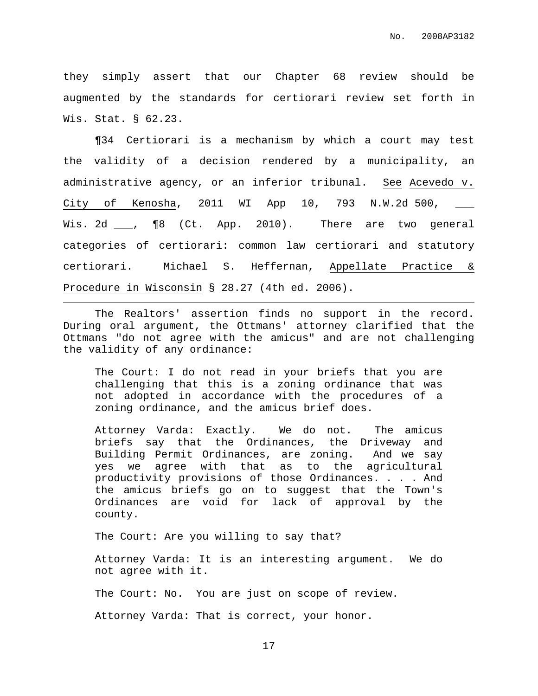they simply assert that our Chapter 68 review should be augmented by the standards for certiorari review set forth in Wis. Stat. § 62.23.

¶34 Certiorari is a mechanism by which a court may test the validity of a decision rendered by a municipality, an administrative agency, or an inferior tribunal. See Acevedo v. City of Kenosha, 2011 WI App 10, 793 N.W.2d 500, \_\_\_ Wis. 2d \_\_\_, ¶8 (Ct. App. 2010). There are two general categories of certiorari: common law certiorari and statutory certiorari. Michael S. Heffernan, Appellate Practice & Procedure in Wisconsin § 28.27 (4th ed. 2006).

The Realtors' assertion finds no support in the record. During oral argument, the Ottmans' attorney clarified that the Ottmans "do not agree with the amicus" and are not challenging the validity of any ordinance:

The Court: I do not read in your briefs that you are challenging that this is a zoning ordinance that was not adopted in accordance with the procedures of a zoning ordinance, and the amicus brief does.

Attorney Varda: Exactly. We do not. The amicus briefs say that the Ordinances, the Driveway and Building Permit Ordinances, are zoning. And we say yes we agree with that as to the agricultural productivity provisions of those Ordinances. . . . And the amicus briefs go on to suggest that the Town's Ordinances are void for lack of approval by the county.

The Court: Are you willing to say that?

Attorney Varda: It is an interesting argument. We do not agree with it.

The Court: No. You are just on scope of review.

Attorney Varda: That is correct, your honor.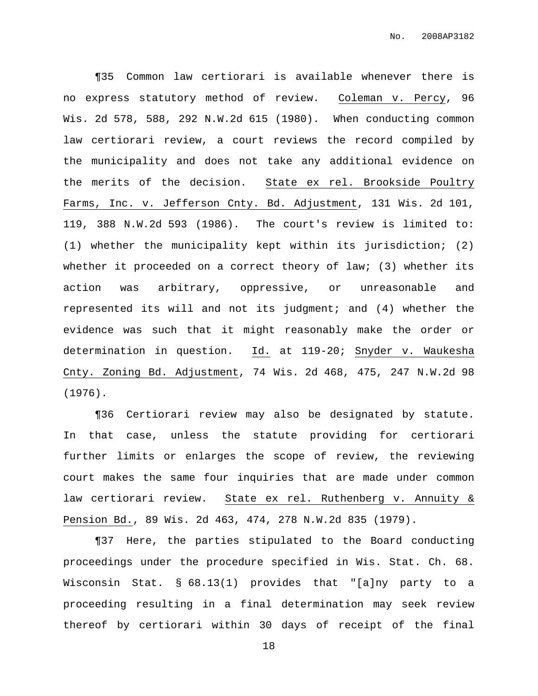¶35 Common law certiorari is available whenever there is no express statutory method of review. Coleman v. Percy, 96 Wis. 2d 578, 588, 292 N.W.2d 615 (1980). When conducting common law certiorari review, a court reviews the record compiled by the municipality and does not take any additional evidence on the merits of the decision. State ex rel. Brookside Poultry Farms, Inc. v. Jefferson Cnty. Bd. Adjustment, 131 Wis. 2d 101, 119, 388 N.W.2d 593 (1986). The court's review is limited to: (1) whether the municipality kept within its jurisdiction; (2) whether it proceeded on a correct theory of law; (3) whether its action was arbitrary, oppressive, or unreasonable and represented its will and not its judgment; and (4) whether the evidence was such that it might reasonably make the order or determination in question. Id. at 119-20; Snyder v. Waukesha Cnty. Zoning Bd. Adjustment, 74 Wis. 2d 468, 475, 247 N.W.2d 98 (1976).

¶36 Certiorari review may also be designated by statute. In that case, unless the statute providing for certiorari further limits or enlarges the scope of review, the reviewing court makes the same four inquiries that are made under common law certiorari review. State ex rel. Ruthenberg v. Annuity & Pension Bd., 89 Wis. 2d 463, 474, 278 N.W.2d 835 (1979).

¶37 Here, the parties stipulated to the Board conducting proceedings under the procedure specified in Wis. Stat. Ch. 68. Wisconsin Stat. § 68.13(1) provides that "[a]ny party to a proceeding resulting in a final determination may seek review thereof by certiorari within 30 days of receipt of the final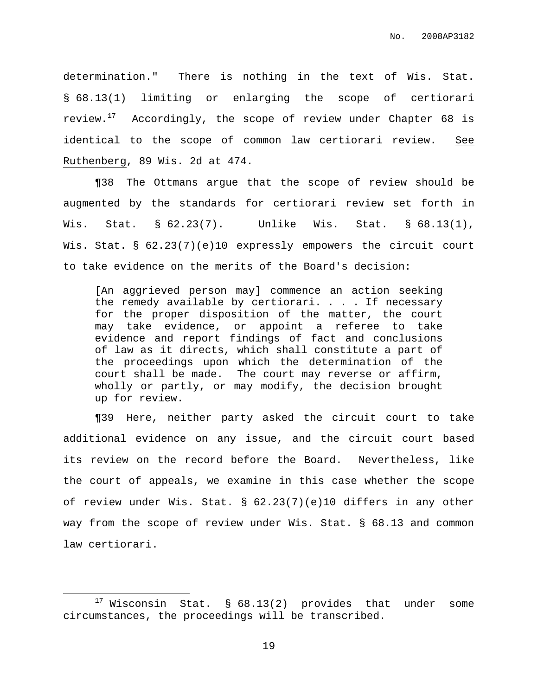determination." There is nothing in the text of Wis. Stat. § 68.13(1) limiting or enlarging the scope of certiorari review. $^{17}$  Accordingly, the scope of review under Chapter 68 is identical to the scope of common law certiorari review. See Ruthenberg, 89 Wis. 2d at 474.

¶38 The Ottmans argue that the scope of review should be augmented by the standards for certiorari review set forth in Wis. Stat. § 62.23(7). Unlike Wis. Stat. § 68.13(1), Wis. Stat. § 62.23(7)(e)10 expressly empowers the circuit court to take evidence on the merits of the Board's decision:

[An aggrieved person may] commence an action seeking the remedy available by certiorari. . . . If necessary for the proper disposition of the matter, the court may take evidence, or appoint a referee to take evidence and report findings of fact and conclusions of law as it directs, which shall constitute a part of the proceedings upon which the determination of the court shall be made. The court may reverse or affirm, wholly or partly, or may modify, the decision brought up for review.

¶39 Here, neither party asked the circuit court to take additional evidence on any issue, and the circuit court based its review on the record before the Board. Nevertheless, like the court of appeals, we examine in this case whether the scope of review under Wis. Stat. § 62.23(7)(e)10 differs in any other way from the scope of review under Wis. Stat. § 68.13 and common law certiorari.

 $17$  Wisconsin Stat. § 68.13(2) provides that under some circumstances, the proceedings will be transcribed.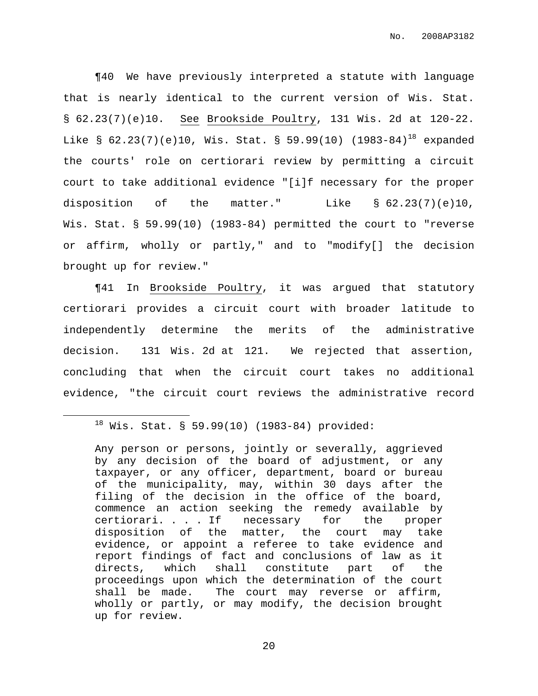¶40 We have previously interpreted a statute with language that is nearly identical to the current version of Wis. Stat. § 62.23(7)(e)10. See Brookside Poultry, 131 Wis. 2d at 120-22. Like § 62.23(7)(e)10, Wis. Stat. § 59.99(10) (1983-84)<sup>18</sup> expanded the courts' role on certiorari review by permitting a circuit court to take additional evidence "[i]f necessary for the proper disposition of the matter." Like  $\S$  62.23(7)(e)10, Wis. Stat. § 59.99(10) (1983-84) permitted the court to "reverse or affirm, wholly or partly," and to "modify[] the decision brought up for review."

¶41 In Brookside Poultry, it was argued that statutory certiorari provides a circuit court with broader latitude to independently determine the merits of the administrative decision. 131 Wis. 2d at 121. We rejected that assertion, concluding that when the circuit court takes no additional evidence, "the circuit court reviews the administrative record

## $18$  Wis. Stat. § 59.99(10) (1983-84) provided:

Any person or persons, jointly or severally, aggrieved by any decision of the board of adjustment, or any taxpayer, or any officer, department, board or bureau of the municipality, may, within 30 days after the filing of the decision in the office of the board, commence an action seeking the remedy available by certiorari. . . . If necessary for the proper disposition of the matter, the court may take evidence, or appoint a referee to take evidence and report findings of fact and conclusions of law as it directs, which shall constitute part of the proceedings upon which the determination of the court shall be made. The court may reverse or affirm, wholly or partly, or may modify, the decision brought up for review.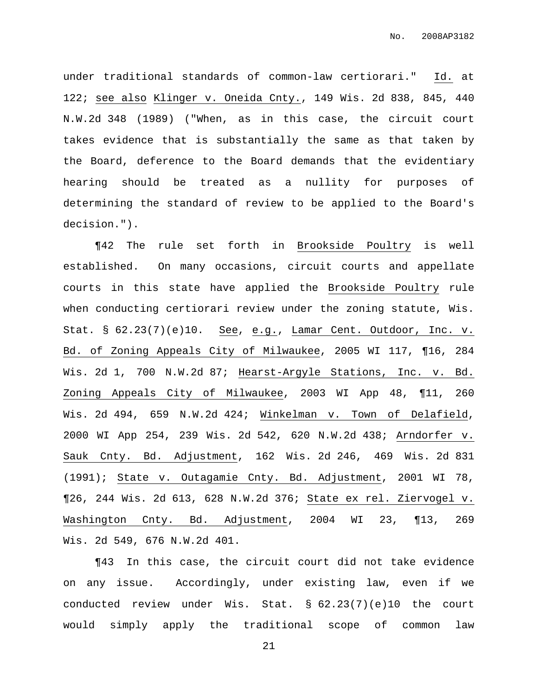under traditional standards of common-law certiorari." Id. at 122; see also Klinger v. Oneida Cnty., 149 Wis. 2d 838, 845, 440 N.W.2d 348 (1989) ("When, as in this case, the circuit court takes evidence that is substantially the same as that taken by the Board, deference to the Board demands that the evidentiary hearing should be treated as a nullity for purposes of determining the standard of review to be applied to the Board's decision.").

¶42 The rule set forth in Brookside Poultry is well established. On many occasions, circuit courts and appellate courts in this state have applied the Brookside Poultry rule when conducting certiorari review under the zoning statute, Wis. Stat. § 62.23(7)(e)10. See, e.g., Lamar Cent. Outdoor, Inc. v. Bd. of Zoning Appeals City of Milwaukee, 2005 WI 117, ¶16, 284 Wis. 2d 1, 700 N.W.2d 87; Hearst-Argyle Stations, Inc. v. Bd. Zoning Appeals City of Milwaukee, 2003 WI App 48, ¶11, 260 Wis. 2d 494, 659 N.W.2d 424; Winkelman v. Town of Delafield, 2000 WI App 254, 239 Wis. 2d 542, 620 N.W.2d 438; Arndorfer v. Sauk Cnty. Bd. Adjustment, 162 Wis. 2d 246, 469 Wis. 2d 831 (1991); State v. Outagamie Cnty. Bd. Adjustment, 2001 WI 78, ¶26, 244 Wis. 2d 613, 628 N.W.2d 376; State ex rel. Ziervogel v. Washington Cnty. Bd. Adjustment, 2004 WI 23, ¶13, 269 Wis. 2d 549, 676 N.W.2d 401.

¶43 In this case, the circuit court did not take evidence on any issue. Accordingly, under existing law, even if we conducted review under Wis. Stat. § 62.23(7)(e)10 the court would simply apply the traditional scope of common law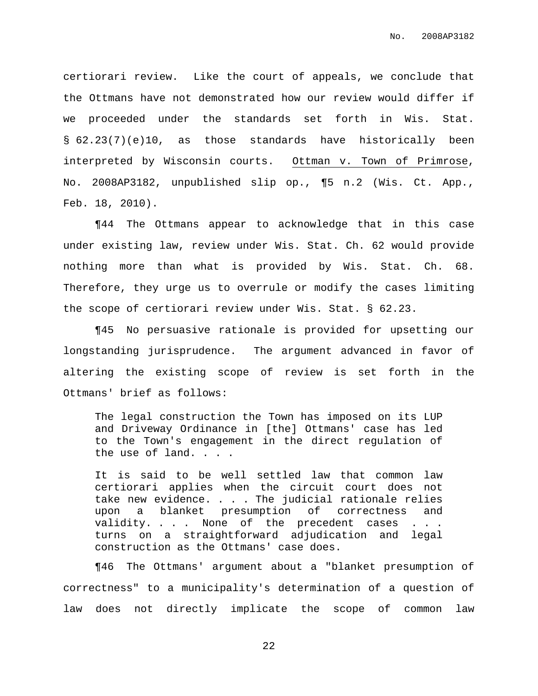certiorari review. Like the court of appeals, we conclude that the Ottmans have not demonstrated how our review would differ if we proceeded under the standards set forth in Wis. Stat. § 62.23(7)(e)10, as those standards have historically been interpreted by Wisconsin courts. Ottman v. Town of Primrose, No. 2008AP3182, unpublished slip op., ¶5 n.2 (Wis. Ct. App., Feb. 18, 2010).

¶44 The Ottmans appear to acknowledge that in this case under existing law, review under Wis. Stat. Ch. 62 would provide nothing more than what is provided by Wis. Stat. Ch. 68. Therefore, they urge us to overrule or modify the cases limiting the scope of certiorari review under Wis. Stat. § 62.23.

¶45 No persuasive rationale is provided for upsetting our longstanding jurisprudence. The argument advanced in favor of altering the existing scope of review is set forth in the Ottmans' brief as follows:

The legal construction the Town has imposed on its LUP and Driveway Ordinance in [the] Ottmans' case has led to the Town's engagement in the direct regulation of the use of land. . . .

It is said to be well settled law that common law certiorari applies when the circuit court does not take new evidence. . . . The judicial rationale relies upon a blanket presumption of correctness and validity. . . . None of the precedent cases . . . turns on a straightforward adjudication and legal construction as the Ottmans' case does.

¶46 The Ottmans' argument about a "blanket presumption of correctness" to a municipality's determination of a question of law does not directly implicate the scope of common law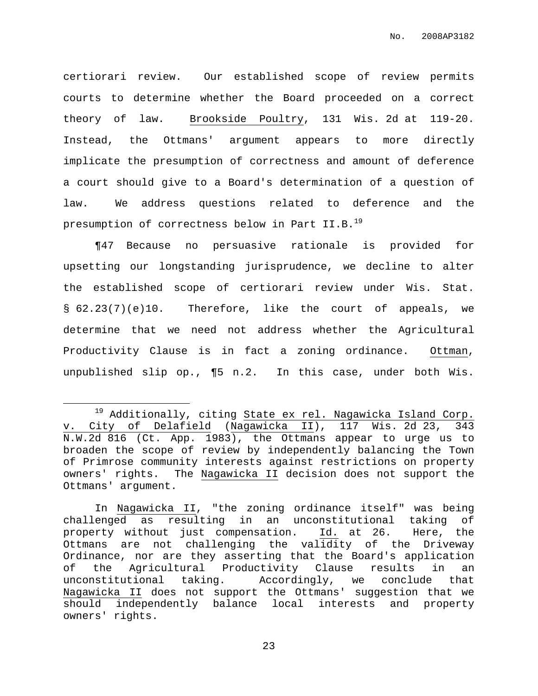certiorari review. Our established scope of review permits courts to determine whether the Board proceeded on a correct theory of law. Brookside Poultry, 131 Wis. 2d at 119-20. Instead, the Ottmans' argument appears to more directly implicate the presumption of correctness and amount of deference a court should give to a Board's determination of a question of law. We address questions related to deference and the presumption of correctness below in Part II.B. 19

¶47 Because no persuasive rationale is provided for upsetting our longstanding jurisprudence, we decline to alter the established scope of certiorari review under Wis. Stat. § 62.23(7)(e)10. Therefore, like the court of appeals, we determine that we need not address whether the Agricultural Productivity Clause is in fact a zoning ordinance. Ottman, unpublished slip op., ¶5 n.2. In this case, under both Wis.

<sup>&</sup>lt;sup>19</sup> Additionally, citing State ex rel. Nagawicka Island Corp. v. City of Delafield (Nagawicka II), 117 Wis. 2d 23, 343 N.W.2d 816 (Ct. App. 1983), the Ottmans appear to urge us to broaden the scope of review by independently balancing the Town of Primrose community interests against restrictions on property owners' rights. The Nagawicka II decision does not support the Ottmans' argument.

In Nagawicka II, "the zoning ordinance itself" was being challenged as resulting in an unconstitutional taking of property without just compensation. Id. at 26. Here, the Ottmans are not challenging the validity of the Driveway Ordinance, nor are they asserting that the Board's application of the Agricultural Productivity Clause results in an unconstitutional taking. Accordingly, we conclude that Nagawicka II does not support the Ottmans' suggestion that we should independently balance local interests and property owners' rights.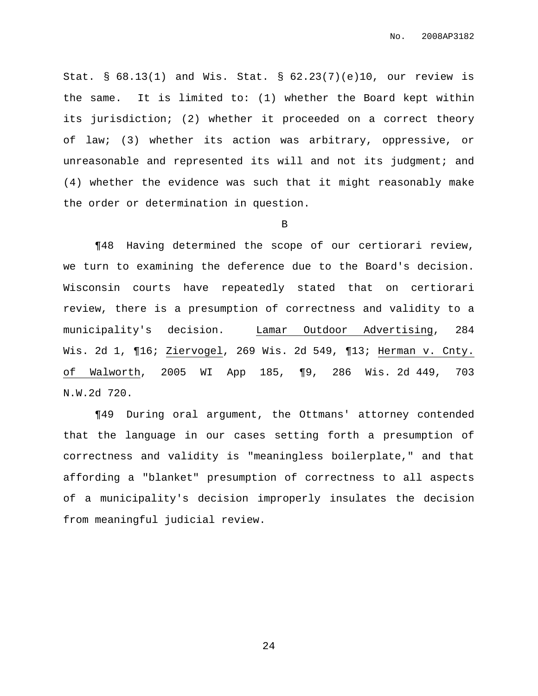Stat. § 68.13(1) and Wis. Stat. § 62.23(7)(e)10, our review is the same. It is limited to: (1) whether the Board kept within its jurisdiction; (2) whether it proceeded on a correct theory of law; (3) whether its action was arbitrary, oppressive, or unreasonable and represented its will and not its judgment; and (4) whether the evidence was such that it might reasonably make the order or determination in question.

#### B

¶48 Having determined the scope of our certiorari review, we turn to examining the deference due to the Board's decision. Wisconsin courts have repeatedly stated that on certiorari review, there is a presumption of correctness and validity to a municipality's decision. Lamar Outdoor Advertising, 284 Wis. 2d 1, ¶16; Ziervogel, 269 Wis. 2d 549, ¶13; Herman v. Cnty. of Walworth, 2005 WI App 185, ¶9, 286 Wis. 2d 449, 703 N.W.2d 720.

¶49 During oral argument, the Ottmans' attorney contended that the language in our cases setting forth a presumption of correctness and validity is "meaningless boilerplate," and that affording a "blanket" presumption of correctness to all aspects of a municipality's decision improperly insulates the decision from meaningful judicial review.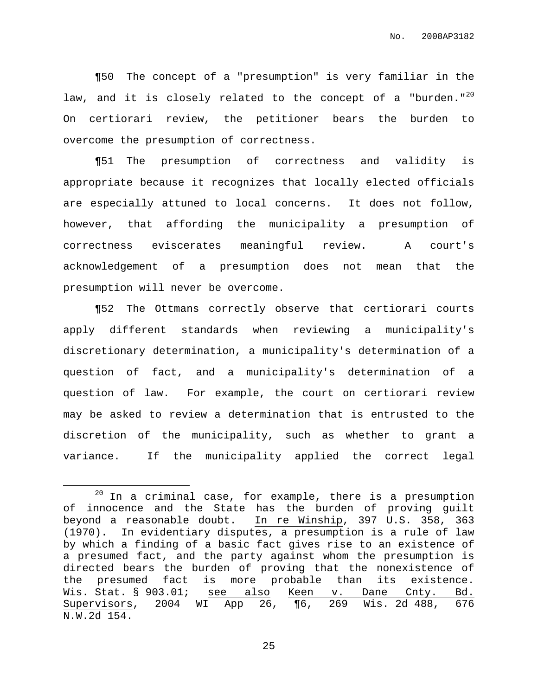¶50 The concept of a "presumption" is very familiar in the law, and it is closely related to the concept of a "burden."<sup>20</sup> On certiorari review, the petitioner bears the burden to overcome the presumption of correctness.

¶51 The presumption of correctness and validity is appropriate because it recognizes that locally elected officials are especially attuned to local concerns. It does not follow, however, that affording the municipality a presumption of correctness eviscerates meaningful review. A court's acknowledgement of a presumption does not mean that the presumption will never be overcome.

¶52 The Ottmans correctly observe that certiorari courts apply different standards when reviewing a municipality's discretionary determination, a municipality's determination of a question of fact, and a municipality's determination of a question of law. For example, the court on certiorari review may be asked to review a determination that is entrusted to the discretion of the municipality, such as whether to grant a variance. If the municipality applied the correct legal

 $20$  In a criminal case, for example, there is a presumption of innocence and the State has the burden of proving guilt beyond a reasonable doubt. In re Winship, 397 U.S. 358, 363 (1970). In evidentiary disputes, a presumption is a rule of law by which a finding of a basic fact gives rise to an existence of a presumed fact, and the party against whom the presumption is directed bears the burden of proving that the nonexistence of the presumed fact is more probable than its existence. Wis. Stat. § 903.01; see also Keen v. Dane Cnty. Bd. Supervisors, 2004 WI App 26, ¶6, 269 Wis. 2d 488, 676 N.W.2d 154.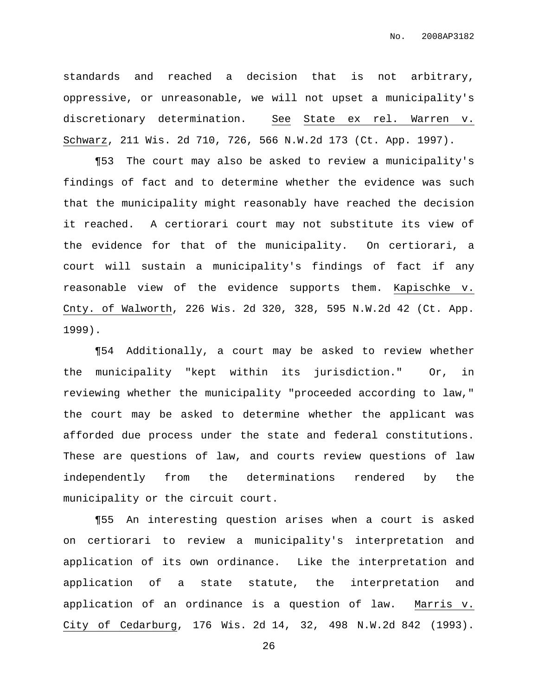standards and reached a decision that is not arbitrary, oppressive, or unreasonable, we will not upset a municipality's discretionary determination. See State ex rel. Warren v. Schwarz, 211 Wis. 2d 710, 726, 566 N.W.2d 173 (Ct. App. 1997).

¶53 The court may also be asked to review a municipality's findings of fact and to determine whether the evidence was such that the municipality might reasonably have reached the decision it reached. A certiorari court may not substitute its view of the evidence for that of the municipality. On certiorari, a court will sustain a municipality's findings of fact if any reasonable view of the evidence supports them. Kapischke v. Cnty. of Walworth, 226 Wis. 2d 320, 328, 595 N.W.2d 42 (Ct. App. 1999).

¶54 Additionally, a court may be asked to review whether the municipality "kept within its jurisdiction." Or, in reviewing whether the municipality "proceeded according to law," the court may be asked to determine whether the applicant was afforded due process under the state and federal constitutions. These are questions of law, and courts review questions of law independently from the determinations rendered by the municipality or the circuit court.

¶55 An interesting question arises when a court is asked on certiorari to review a municipality's interpretation and application of its own ordinance. Like the interpretation and application of a state statute, the interpretation and application of an ordinance is a question of law. Marris v. City of Cedarburg, 176 Wis. 2d 14, 32, 498 N.W.2d 842 (1993).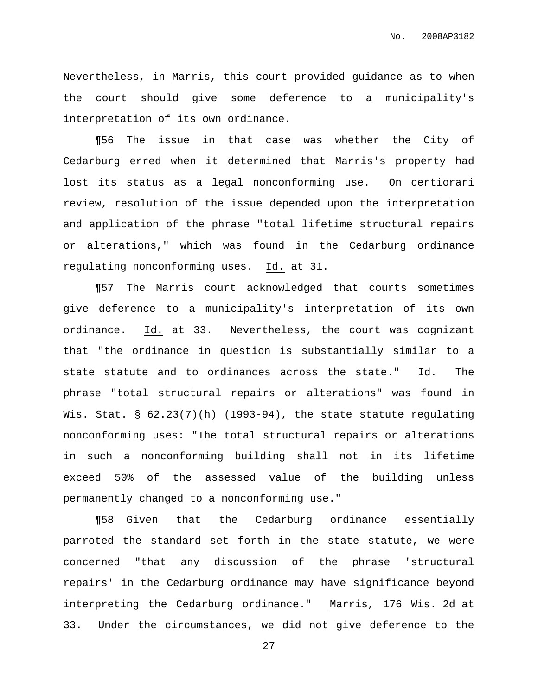Nevertheless, in Marris, this court provided guidance as to when the court should give some deference to a municipality's interpretation of its own ordinance.

¶56 The issue in that case was whether the City of Cedarburg erred when it determined that Marris's property had lost its status as a legal nonconforming use. On certiorari review, resolution of the issue depended upon the interpretation and application of the phrase "total lifetime structural repairs or alterations," which was found in the Cedarburg ordinance regulating nonconforming uses. Id. at 31.

¶57 The Marris court acknowledged that courts sometimes give deference to a municipality's interpretation of its own ordinance. Id. at 33. Nevertheless, the court was cognizant that "the ordinance in question is substantially similar to a state statute and to ordinances across the state." Id. The phrase "total structural repairs or alterations" was found in Wis. Stat.  $\S$  62.23(7)(h) (1993-94), the state statute regulating nonconforming uses: "The total structural repairs or alterations in such a nonconforming building shall not in its lifetime exceed 50% of the assessed value of the building unless permanently changed to a nonconforming use."

¶58 Given that the Cedarburg ordinance essentially parroted the standard set forth in the state statute, we were concerned "that any discussion of the phrase 'structural repairs' in the Cedarburg ordinance may have significance beyond interpreting the Cedarburg ordinance." Marris, 176 Wis. 2d at 33. Under the circumstances, we did not give deference to the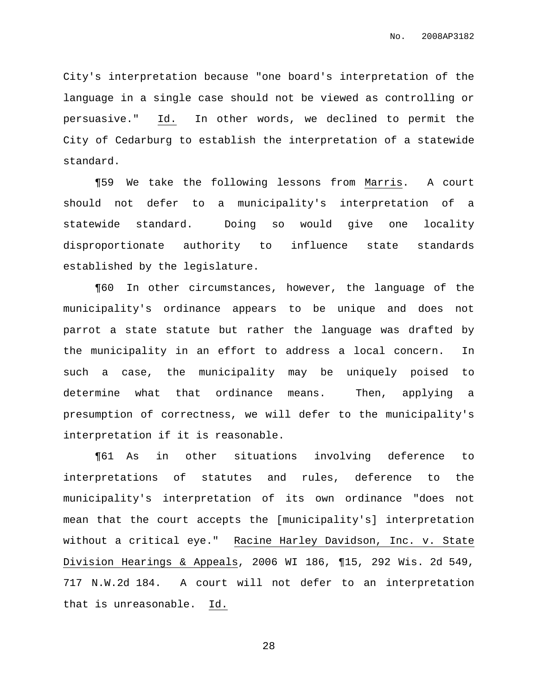City's interpretation because "one board's interpretation of the language in a single case should not be viewed as controlling or persuasive." Id. In other words, we declined to permit the City of Cedarburg to establish the interpretation of a statewide standard.

¶59 We take the following lessons from Marris. A court should not defer to a municipality's interpretation of a statewide standard. Doing so would give one locality disproportionate authority to influence state standards established by the legislature.

¶60 In other circumstances, however, the language of the municipality's ordinance appears to be unique and does not parrot a state statute but rather the language was drafted by the municipality in an effort to address a local concern. In such a case, the municipality may be uniquely poised to determine what that ordinance means. Then, applying a presumption of correctness, we will defer to the municipality's interpretation if it is reasonable.

¶61 As in other situations involving deference to interpretations of statutes and rules, deference to the municipality's interpretation of its own ordinance "does not mean that the court accepts the [municipality's] interpretation without a critical eye." Racine Harley Davidson, Inc. v. State Division Hearings & Appeals, 2006 WI 186, ¶15, 292 Wis. 2d 549, 717 N.W.2d 184. A court will not defer to an interpretation that is unreasonable. Id.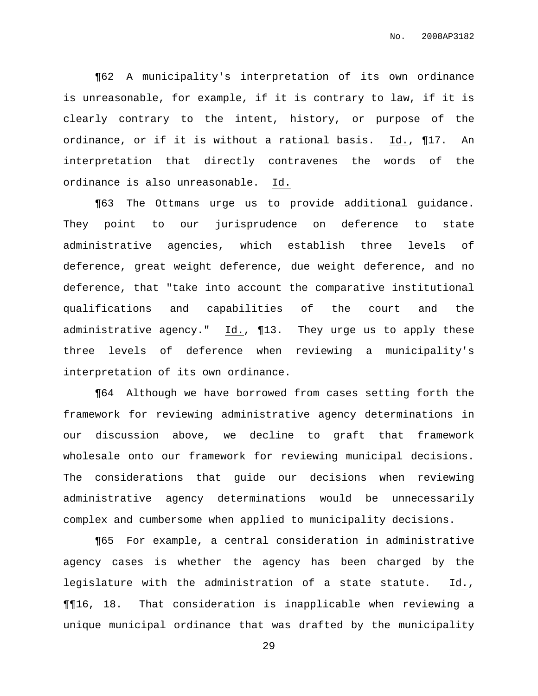¶62 A municipality's interpretation of its own ordinance is unreasonable, for example, if it is contrary to law, if it is clearly contrary to the intent, history, or purpose of the ordinance, or if it is without a rational basis. Id., ¶17. An interpretation that directly contravenes the words of the ordinance is also unreasonable. Id.

¶63 The Ottmans urge us to provide additional guidance. They point to our jurisprudence on deference to state administrative agencies, which establish three levels of deference, great weight deference, due weight deference, and no deference, that "take into account the comparative institutional qualifications and capabilities of the court and the administrative agency." Id., ¶13. They urge us to apply these three levels of deference when reviewing a municipality's interpretation of its own ordinance.

¶64 Although we have borrowed from cases setting forth the framework for reviewing administrative agency determinations in our discussion above, we decline to graft that framework wholesale onto our framework for reviewing municipal decisions. The considerations that guide our decisions when reviewing administrative agency determinations would be unnecessarily complex and cumbersome when applied to municipality decisions.

¶65 For example, a central consideration in administrative agency cases is whether the agency has been charged by the legislature with the administration of a state statute. Id., ¶¶16, 18. That consideration is inapplicable when reviewing a unique municipal ordinance that was drafted by the municipality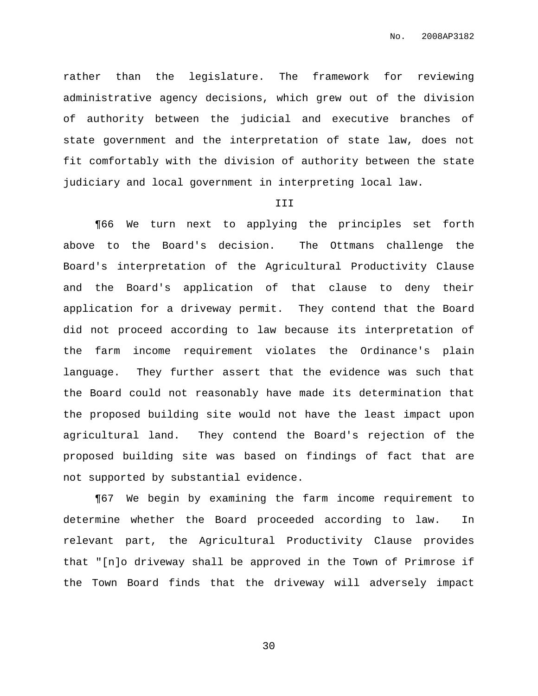rather than the legislature. The framework for reviewing administrative agency decisions, which grew out of the division of authority between the judicial and executive branches of state government and the interpretation of state law, does not fit comfortably with the division of authority between the state judiciary and local government in interpreting local law.

### III

¶66 We turn next to applying the principles set forth above to the Board's decision. The Ottmans challenge the Board's interpretation of the Agricultural Productivity Clause and the Board's application of that clause to deny their application for a driveway permit. They contend that the Board did not proceed according to law because its interpretation of the farm income requirement violates the Ordinance's plain language. They further assert that the evidence was such that the Board could not reasonably have made its determination that the proposed building site would not have the least impact upon agricultural land. They contend the Board's rejection of the proposed building site was based on findings of fact that are not supported by substantial evidence.

¶67 We begin by examining the farm income requirement to determine whether the Board proceeded according to law. In relevant part, the Agricultural Productivity Clause provides that "[n]o driveway shall be approved in the Town of Primrose if the Town Board finds that the driveway will adversely impact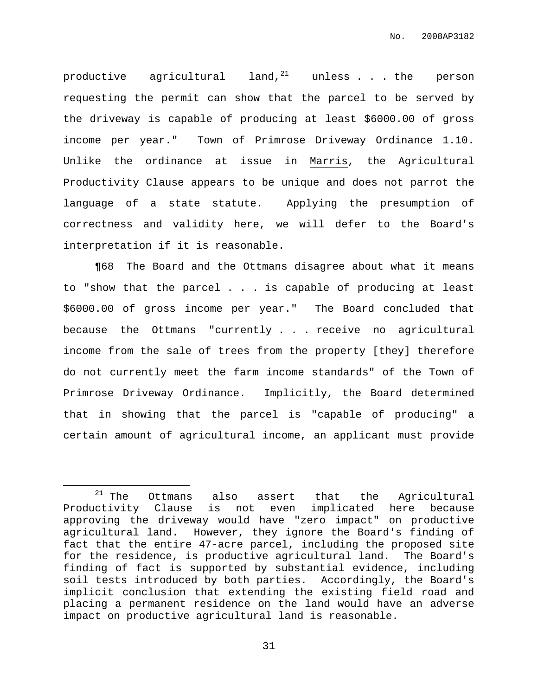productive agricultural land, $^{21}$  unless  $\ldots$  the person requesting the permit can show that the parcel to be served by the driveway is capable of producing at least \$6000.00 of gross income per year." Town of Primrose Driveway Ordinance 1.10. Unlike the ordinance at issue in Marris, the Agricultural Productivity Clause appears to be unique and does not parrot the language of a state statute. Applying the presumption of correctness and validity here, we will defer to the Board's interpretation if it is reasonable.

¶68 The Board and the Ottmans disagree about what it means to "show that the parcel . . . is capable of producing at least \$6000.00 of gross income per year." The Board concluded that because the Ottmans "currently . . . receive no agricultural income from the sale of trees from the property [they] therefore do not currently meet the farm income standards" of the Town of Primrose Driveway Ordinance. Implicitly, the Board determined that in showing that the parcel is "capable of producing" a certain amount of agricultural income, an applicant must provide

 $21$  The Ottmans also assert that the Agricultural Productivity Clause is not even implicated here because approving the driveway would have "zero impact" on productive agricultural land. However, they ignore the Board's finding of fact that the entire 47-acre parcel, including the proposed site for the residence, is productive agricultural land. The Board's finding of fact is supported by substantial evidence, including soil tests introduced by both parties. Accordingly, the Board's implicit conclusion that extending the existing field road and placing a permanent residence on the land would have an adverse impact on productive agricultural land is reasonable.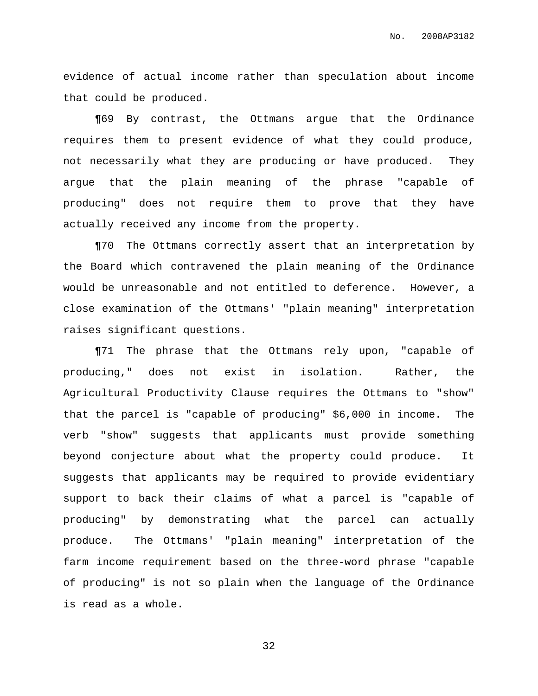evidence of actual income rather than speculation about income that could be produced.

¶69 By contrast, the Ottmans argue that the Ordinance requires them to present evidence of what they could produce, not necessarily what they are producing or have produced. They argue that the plain meaning of the phrase "capable of producing" does not require them to prove that they have actually received any income from the property.

¶70 The Ottmans correctly assert that an interpretation by the Board which contravened the plain meaning of the Ordinance would be unreasonable and not entitled to deference. However, a close examination of the Ottmans' "plain meaning" interpretation raises significant questions.

¶71 The phrase that the Ottmans rely upon, "capable of producing," does not exist in isolation. Rather, the Agricultural Productivity Clause requires the Ottmans to "show" that the parcel is "capable of producing" \$6,000 in income. The verb "show" suggests that applicants must provide something beyond conjecture about what the property could produce. It suggests that applicants may be required to provide evidentiary support to back their claims of what a parcel is "capable of producing" by demonstrating what the parcel can actually produce. The Ottmans' "plain meaning" interpretation of the farm income requirement based on the three-word phrase "capable of producing" is not so plain when the language of the Ordinance is read as a whole.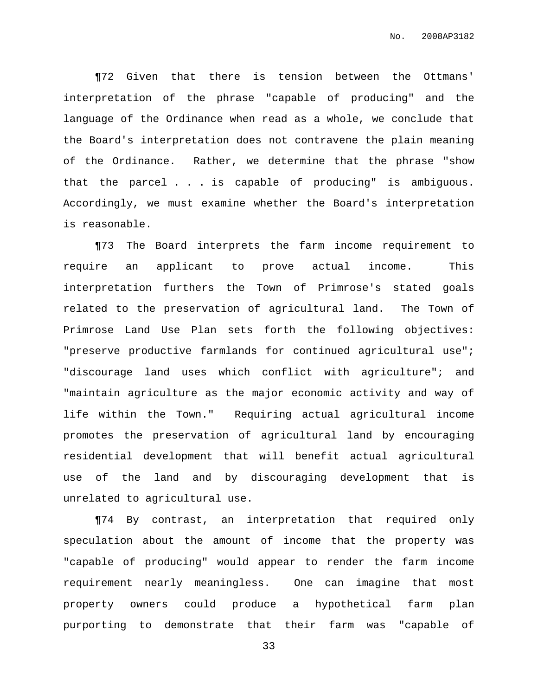¶72 Given that there is tension between the Ottmans' interpretation of the phrase "capable of producing" and the language of the Ordinance when read as a whole, we conclude that the Board's interpretation does not contravene the plain meaning of the Ordinance. Rather, we determine that the phrase "show that the parcel . . . is capable of producing" is ambiguous. Accordingly, we must examine whether the Board's interpretation is reasonable.

¶73 The Board interprets the farm income requirement to require an applicant to prove actual income. This interpretation furthers the Town of Primrose's stated goals related to the preservation of agricultural land. The Town of Primrose Land Use Plan sets forth the following objectives: "preserve productive farmlands for continued agricultural use"; "discourage land uses which conflict with agriculture"; and "maintain agriculture as the major economic activity and way of life within the Town." Requiring actual agricultural income promotes the preservation of agricultural land by encouraging residential development that will benefit actual agricultural use of the land and by discouraging development that is unrelated to agricultural use.

¶74 By contrast, an interpretation that required only speculation about the amount of income that the property was "capable of producing" would appear to render the farm income requirement nearly meaningless. One can imagine that most property owners could produce a hypothetical farm plan purporting to demonstrate that their farm was "capable of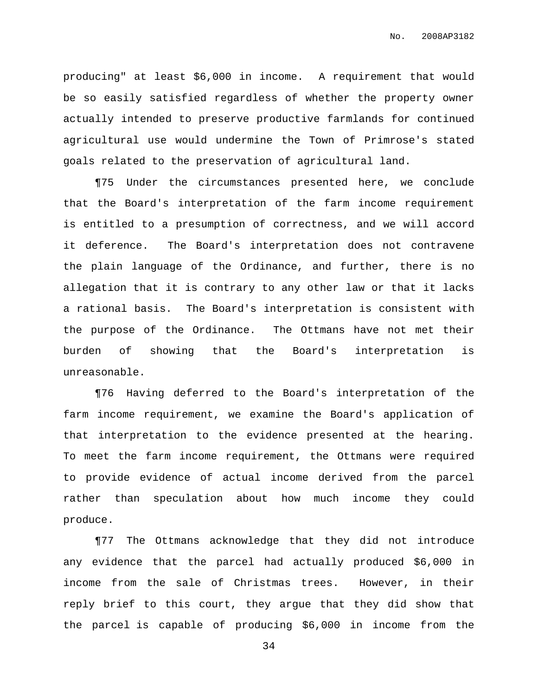producing" at least \$6,000 in income. A requirement that would be so easily satisfied regardless of whether the property owner actually intended to preserve productive farmlands for continued agricultural use would undermine the Town of Primrose's stated goals related to the preservation of agricultural land.

¶75 Under the circumstances presented here, we conclude that the Board's interpretation of the farm income requirement is entitled to a presumption of correctness, and we will accord it deference. The Board's interpretation does not contravene the plain language of the Ordinance, and further, there is no allegation that it is contrary to any other law or that it lacks a rational basis. The Board's interpretation is consistent with the purpose of the Ordinance. The Ottmans have not met their burden of showing that the Board's interpretation is unreasonable.

¶76 Having deferred to the Board's interpretation of the farm income requirement, we examine the Board's application of that interpretation to the evidence presented at the hearing. To meet the farm income requirement, the Ottmans were required to provide evidence of actual income derived from the parcel rather than speculation about how much income they could produce.

¶77 The Ottmans acknowledge that they did not introduce any evidence that the parcel had actually produced \$6,000 in income from the sale of Christmas trees. However, in their reply brief to this court, they argue that they did show that the parcel is capable of producing \$6,000 in income from the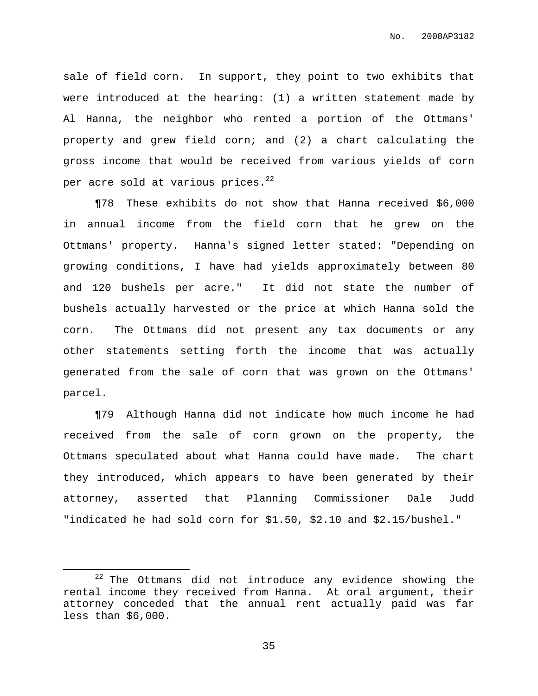sale of field corn. In support, they point to two exhibits that were introduced at the hearing: (1) a written statement made by Al Hanna, the neighbor who rented a portion of the Ottmans' property and grew field corn; and (2) a chart calculating the gross income that would be received from various yields of corn per acre sold at various prices. $^{22}$ 

¶78 These exhibits do not show that Hanna received \$6,000 in annual income from the field corn that he grew on the Ottmans' property. Hanna's signed letter stated: "Depending on growing conditions, I have had yields approximately between 80 and 120 bushels per acre." It did not state the number of bushels actually harvested or the price at which Hanna sold the corn. The Ottmans did not present any tax documents or any other statements setting forth the income that was actually generated from the sale of corn that was grown on the Ottmans' parcel.

¶79 Although Hanna did not indicate how much income he had received from the sale of corn grown on the property, the Ottmans speculated about what Hanna could have made. The chart they introduced, which appears to have been generated by their attorney, asserted that Planning Commissioner Dale Judd "indicated he had sold corn for \$1.50, \$2.10 and \$2.15/bushel."

 $22$  The Ottmans did not introduce any evidence showing the rental income they received from Hanna. At oral argument, their attorney conceded that the annual rent actually paid was far less than \$6,000.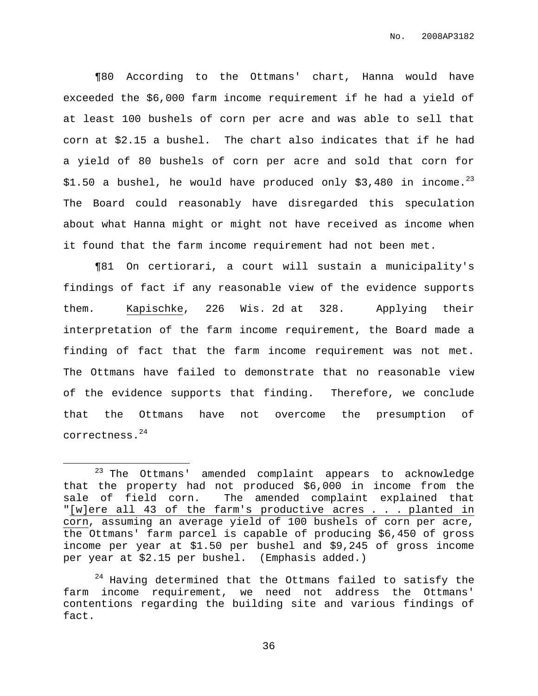¶80 According to the Ottmans' chart, Hanna would have exceeded the \$6,000 farm income requirement if he had a yield of at least 100 bushels of corn per acre and was able to sell that corn at \$2.15 a bushel. The chart also indicates that if he had a yield of 80 bushels of corn per acre and sold that corn for \$1.50 a bushel, he would have produced only \$3,480 in income.<sup>23</sup> The Board could reasonably have disregarded this speculation about what Hanna might or might not have received as income when it found that the farm income requirement had not been met.

¶81 On certiorari, a court will sustain a municipality's findings of fact if any reasonable view of the evidence supports them. Kapischke, 226 Wis. 2d at 328. Applying their interpretation of the farm income requirement, the Board made a finding of fact that the farm income requirement was not met. The Ottmans have failed to demonstrate that no reasonable view of the evidence supports that finding. Therefore, we conclude that the Ottmans have not overcome the presumption of correctness. 24

<sup>&</sup>lt;sup>23</sup> The Ottmans' amended complaint appears to acknowledge that the property had not produced \$6,000 in income from the sale of field corn. The amended complaint explained that "[w]ere all 43 of the farm's productive acres . . . planted in corn, assuming an average yield of 100 bushels of corn per acre, the Ottmans' farm parcel is capable of producing \$6,450 of gross income per year at \$1.50 per bushel and \$9,245 of gross income per year at \$2.15 per bushel. (Emphasis added.)

 $24$  Having determined that the Ottmans failed to satisfy the farm income requirement, we need not address the Ottmans' contentions regarding the building site and various findings of fact.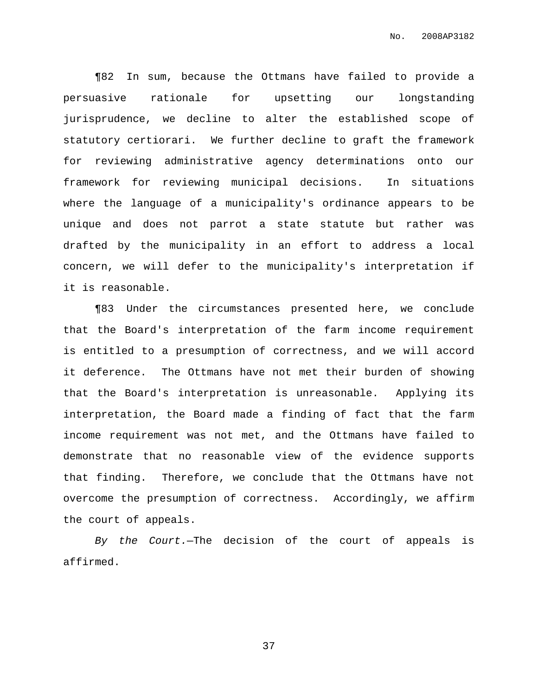¶82 In sum, because the Ottmans have failed to provide a persuasive rationale for upsetting our longstanding jurisprudence, we decline to alter the established scope of statutory certiorari. We further decline to graft the framework for reviewing administrative agency determinations onto our framework for reviewing municipal decisions. In situations where the language of a municipality's ordinance appears to be unique and does not parrot a state statute but rather was drafted by the municipality in an effort to address a local concern, we will defer to the municipality's interpretation if it is reasonable.

¶83 Under the circumstances presented here, we conclude that the Board's interpretation of the farm income requirement is entitled to a presumption of correctness, and we will accord it deference. The Ottmans have not met their burden of showing that the Board's interpretation is unreasonable. Applying its interpretation, the Board made a finding of fact that the farm income requirement was not met, and the Ottmans have failed to demonstrate that no reasonable view of the evidence supports that finding. Therefore, we conclude that the Ottmans have not overcome the presumption of correctness. Accordingly, we affirm the court of appeals.

By the Court.-The decision of the court of appeals is affirmed.